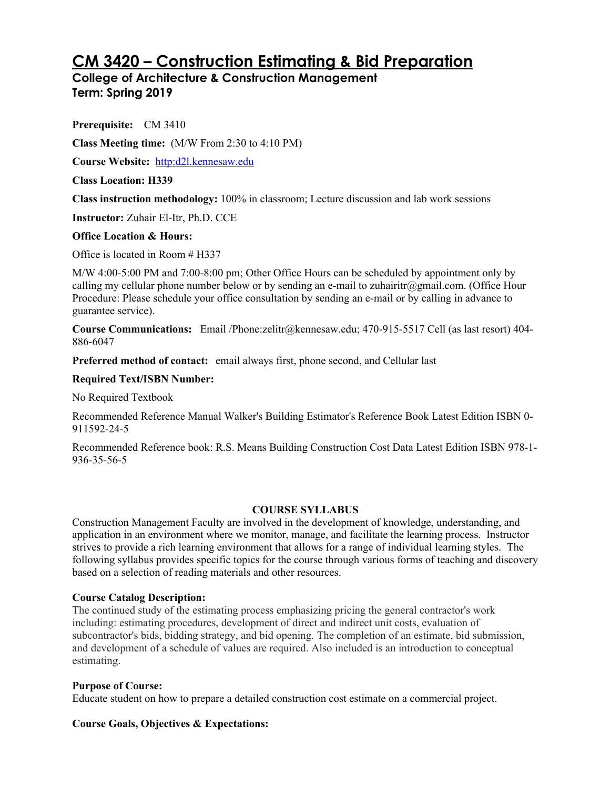# **CM 3420 – Construction Estimating & Bid Preparation**

**College of Architecture & Construction Management Term: Spring 2019**

**Prerequisite:** CM 3410

**Class Meeting time:** (M/W From 2:30 to 4:10 PM)

**Course Website:** http:d2l.kennesaw.edu

**Class Location: H339**

**Class instruction methodology:** 100% in classroom; Lecture discussion and lab work sessions

**Instructor:** Zuhair El-Itr, Ph.D. CCE

## **Office Location & Hours:**

Office is located in Room # H337

M/W 4:00-5:00 PM and 7:00-8:00 pm; Other Office Hours can be scheduled by appointment only by calling my cellular phone number below or by sending an e-mail to zuhairitr@gmail.com. (Office Hour Procedure: Please schedule your office consultation by sending an e-mail or by calling in advance to guarantee service).

**Course Communications:** Email /Phone:zelitr@kennesaw.edu; 470-915-5517 Cell (as last resort) 404- 886-6047

**Preferred method of contact:** email always first, phone second, and Cellular last

## **Required Text/ISBN Number:**

No Required Textbook

Recommended Reference Manual Walker's Building Estimator's Reference Book Latest Edition ISBN 0- 911592-24-5

Recommended Reference book: R.S. Means Building Construction Cost Data Latest Edition ISBN 978-1- 936-35-56-5

## **COURSE SYLLABUS**

Construction Management Faculty are involved in the development of knowledge, understanding, and application in an environment where we monitor, manage, and facilitate the learning process. Instructor strives to provide a rich learning environment that allows for a range of individual learning styles. The following syllabus provides specific topics for the course through various forms of teaching and discovery based on a selection of reading materials and other resources.

## **Course Catalog Description:**

The continued study of the estimating process emphasizing pricing the general contractor's work including: estimating procedures, development of direct and indirect unit costs, evaluation of subcontractor's bids, bidding strategy, and bid opening. The completion of an estimate, bid submission, and development of a schedule of values are required. Also included is an introduction to conceptual estimating.

## **Purpose of Course:**

Educate student on how to prepare a detailed construction cost estimate on a commercial project.

## **Course Goals, Objectives & Expectations:**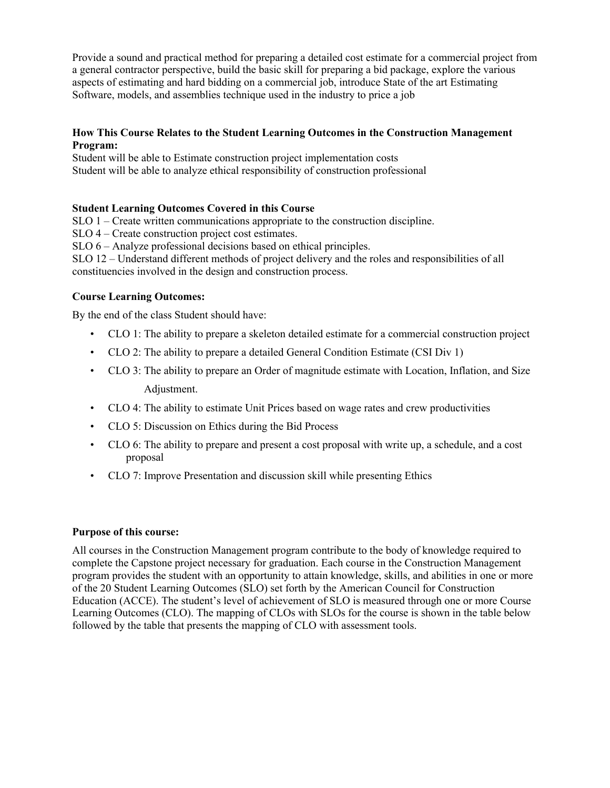Provide a sound and practical method for preparing a detailed cost estimate for a commercial project from a general contractor perspective, build the basic skill for preparing a bid package, explore the various aspects of estimating and hard bidding on a commercial job, introduce State of the art Estimating Software, models, and assemblies technique used in the industry to price a job

## **How This Course Relates to the Student Learning Outcomes in the Construction Management Program:**

Student will be able to Estimate construction project implementation costs Student will be able to analyze ethical responsibility of construction professional

## **Student Learning Outcomes Covered in this Course**

SLO 1 – Create written communications appropriate to the construction discipline.

SLO 4 – Create construction project cost estimates.

SLO 6 – Analyze professional decisions based on ethical principles.

SLO 12 – Understand different methods of project delivery and the roles and responsibilities of all constituencies involved in the design and construction process.

## **Course Learning Outcomes:**

By the end of the class Student should have:

- CLO 1: The ability to prepare a skeleton detailed estimate for a commercial construction project
- CLO 2: The ability to prepare a detailed General Condition Estimate (CSI Div 1)
- CLO 3: The ability to prepare an Order of magnitude estimate with Location, Inflation, and Size Adjustment.
- CLO 4: The ability to estimate Unit Prices based on wage rates and crew productivities
- CLO 5: Discussion on Ethics during the Bid Process
- CLO 6: The ability to prepare and present a cost proposal with write up, a schedule, and a cost proposal
- CLO 7: Improve Presentation and discussion skill while presenting Ethics

## **Purpose of this course:**

All courses in the Construction Management program contribute to the body of knowledge required to complete the Capstone project necessary for graduation. Each course in the Construction Management program provides the student with an opportunity to attain knowledge, skills, and abilities in one or more of the 20 Student Learning Outcomes (SLO) set forth by the American Council for Construction Education (ACCE). The student's level of achievement of SLO is measured through one or more Course Learning Outcomes (CLO). The mapping of CLOs with SLOs for the course is shown in the table below followed by the table that presents the mapping of CLO with assessment tools.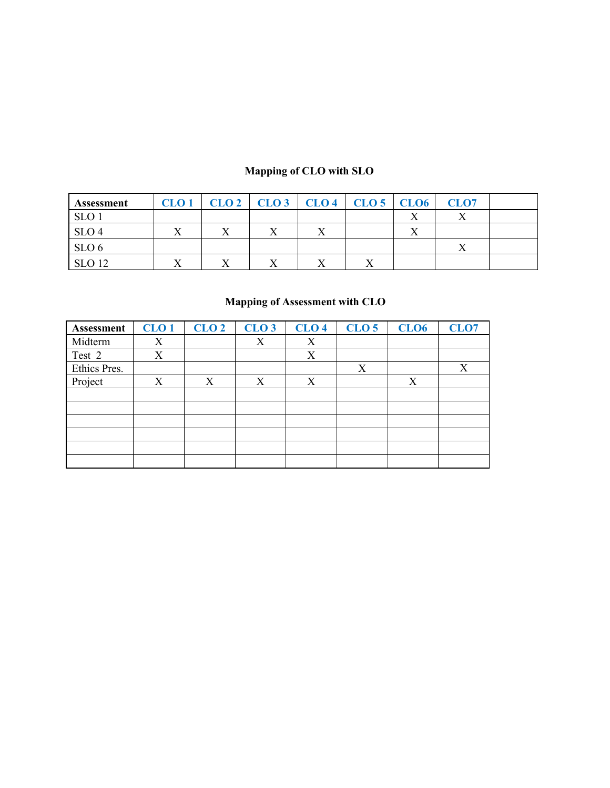## **Mapping of CLO with SLO**

| <b>Assessment</b> | CLO <sub>1</sub> | CLO <sub>2</sub> | $CLO3$ $CLO4$ |   | CLO <sub>5</sub> CLO <sub>6</sub> |           | CLO <sub>7</sub> |  |
|-------------------|------------------|------------------|---------------|---|-----------------------------------|-----------|------------------|--|
| <b>SLO</b>        |                  |                  |               |   |                                   |           |                  |  |
| SLO <sub>4</sub>  | $\lambda$        | $\lambda$        |               | △ |                                   | $\lambda$ |                  |  |
| SLO <sub>6</sub>  |                  |                  |               |   |                                   |           |                  |  |
| SLO <sub>12</sub> |                  |                  |               |   |                                   |           |                  |  |

## **Mapping of Assessment with CLO**

| <b>Assessment</b> | CLO <sub>1</sub> | CLO <sub>2</sub> | CLO <sub>3</sub> | CLO <sub>4</sub> | <b>CLO 5</b> | CLO <sub>6</sub> | <b>CLO7</b> |
|-------------------|------------------|------------------|------------------|------------------|--------------|------------------|-------------|
| Midterm           | X                |                  | X                | X                |              |                  |             |
| Test 2            | X                |                  |                  | X                |              |                  |             |
| Ethics Pres.      |                  |                  |                  |                  | X            |                  | X           |
| Project           | X                | X                | X                | X                |              | X                |             |
|                   |                  |                  |                  |                  |              |                  |             |
|                   |                  |                  |                  |                  |              |                  |             |
|                   |                  |                  |                  |                  |              |                  |             |
|                   |                  |                  |                  |                  |              |                  |             |
|                   |                  |                  |                  |                  |              |                  |             |
|                   |                  |                  |                  |                  |              |                  |             |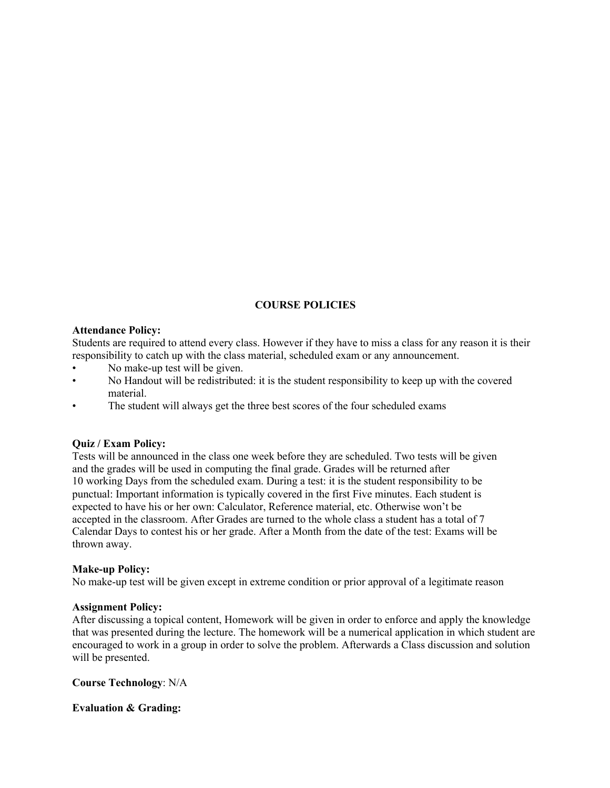## **COURSE POLICIES**

## **Attendance Policy:**

Students are required to attend every class. However if they have to miss a class for any reason it is their responsibility to catch up with the class material, scheduled exam or any announcement.

- No make-up test will be given.
- No Handout will be redistributed: it is the student responsibility to keep up with the covered material.
- The student will always get the three best scores of the four scheduled exams

#### **Quiz / Exam Policy:**

Tests will be announced in the class one week before they are scheduled. Two tests will be given and the grades will be used in computing the final grade. Grades will be returned after 10 working Days from the scheduled exam. During a test: it is the student responsibility to be punctual: Important information is typically covered in the first Five minutes. Each student is expected to have his or her own: Calculator, Reference material, etc. Otherwise won't be accepted in the classroom. After Grades are turned to the whole class a student has a total of 7 Calendar Days to contest his or her grade. After a Month from the date of the test: Exams will be thrown away.

#### **Make-up Policy:**

No make-up test will be given except in extreme condition or prior approval of a legitimate reason

#### **Assignment Policy:**

After discussing a topical content, Homework will be given in order to enforce and apply the knowledge that was presented during the lecture. The homework will be a numerical application in which student are encouraged to work in a group in order to solve the problem. Afterwards a Class discussion and solution will be presented.

#### **Course Technology**: N/A

## **Evaluation & Grading:**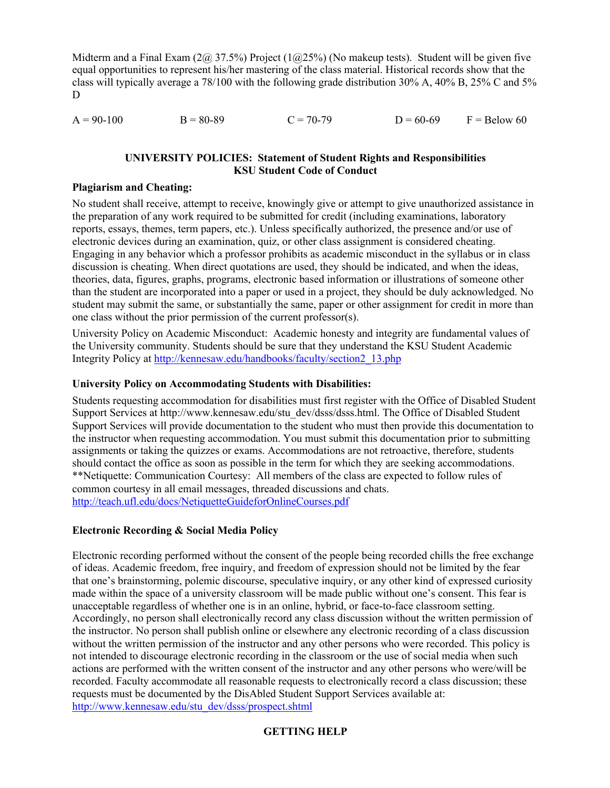Midterm and a Final Exam  $(2\omega, 37.5\%)$  Project  $(1\omega, 25\%)$  (No makeup tests). Student will be given five equal opportunities to represent his/her mastering of the class material. Historical records show that the class will typically average a 78/100 with the following grade distribution 30% A, 40% B, 25% C and 5% D

| $A = 90-100$ | $B = 80-89$ | $C = 70-79$ | $D = 60-69$ | $F =$ Below 60 |
|--------------|-------------|-------------|-------------|----------------|
|              |             |             |             |                |

## **UNIVERSITY POLICIES: Statement of Student Rights and Responsibilities KSU Student Code of Conduct**

## **Plagiarism and Cheating:**

No student shall receive, attempt to receive, knowingly give or attempt to give unauthorized assistance in the preparation of any work required to be submitted for credit (including examinations, laboratory reports, essays, themes, term papers, etc.). Unless specifically authorized, the presence and/or use of electronic devices during an examination, quiz, or other class assignment is considered cheating. Engaging in any behavior which a professor prohibits as academic misconduct in the syllabus or in class discussion is cheating. When direct quotations are used, they should be indicated, and when the ideas, theories, data, figures, graphs, programs, electronic based information or illustrations of someone other than the student are incorporated into a paper or used in a project, they should be duly acknowledged. No student may submit the same, or substantially the same, paper or other assignment for credit in more than one class without the prior permission of the current professor(s).

University Policy on Academic Misconduct: Academic honesty and integrity are fundamental values of the University community. Students should be sure that they understand the KSU Student Academic Integrity Policy at http://kennesaw.edu/handbooks/faculty/section2\_13.php

## **University Policy on Accommodating Students with Disabilities:**

Students requesting accommodation for disabilities must first register with the Office of Disabled Student Support Services at http://www.kennesaw.edu/stu\_dev/dsss/dsss.html. The Office of Disabled Student Support Services will provide documentation to the student who must then provide this documentation to the instructor when requesting accommodation. You must submit this documentation prior to submitting assignments or taking the quizzes or exams. Accommodations are not retroactive, therefore, students should contact the office as soon as possible in the term for which they are seeking accommodations. \*\*Netiquette: Communication Courtesy: All members of the class are expected to follow rules of common courtesy in all email messages, threaded discussions and chats. http://teach.ufl.edu/docs/NetiquetteGuideforOnlineCourses.pdf

## **Electronic Recording & Social Media Policy**

Electronic recording performed without the consent of the people being recorded chills the free exchange of ideas. Academic freedom, free inquiry, and freedom of expression should not be limited by the fear that one's brainstorming, polemic discourse, speculative inquiry, or any other kind of expressed curiosity made within the space of a university classroom will be made public without one's consent. This fear is unacceptable regardless of whether one is in an online, hybrid, or face-to-face classroom setting. Accordingly, no person shall electronically record any class discussion without the written permission of the instructor. No person shall publish online or elsewhere any electronic recording of a class discussion without the written permission of the instructor and any other persons who were recorded. This policy is not intended to discourage electronic recording in the classroom or the use of social media when such actions are performed with the written consent of the instructor and any other persons who were/will be recorded. Faculty accommodate all reasonable requests to electronically record a class discussion; these requests must be documented by the DisAbled Student Support Services available at: http://www.kennesaw.edu/stu\_dev/dsss/prospect.shtml

## **GETTING HELP**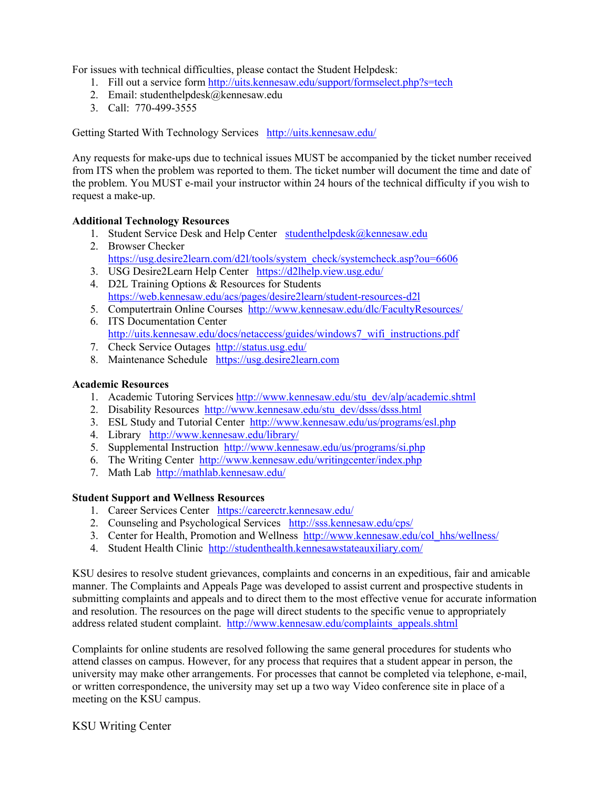For issues with technical difficulties, please contact the Student Helpdesk:

- 1. Fill out a service form http://uits.kennesaw.edu/support/formselect.php?s=tech
- 2. Email: studenthelpdesk $@$ kennesaw.edu
- 3. Call: 770-499-3555

Getting Started With Technology Services http://uits.kennesaw.edu/

Any requests for make-ups due to technical issues MUST be accompanied by the ticket number received from ITS when the problem was reported to them. The ticket number will document the time and date of the problem. You MUST e-mail your instructor within 24 hours of the technical difficulty if you wish to request a make-up.

## **Additional Technology Resources**

- 1. Student Service Desk and Help Center studenthelpdesk@kennesaw.edu
- 2. Browser Checker https://usg.desire2learn.com/d2l/tools/system\_check/systemcheck.asp?ou=6606
- 3. USG Desire2Learn Help Center https://d2lhelp.view.usg.edu/
- 4. D2L Training Options & Resources for Students https://web.kennesaw.edu/acs/pages/desire2learn/student-resources-d2l
- 5. Computertrain Online Courses http://www.kennesaw.edu/dlc/FacultyResources/
- 6. ITS Documentation Center http://uits.kennesaw.edu/docs/netaccess/guides/windows7\_wifi\_instructions.pdf
- 7. Check Service Outages http://status.usg.edu/
- 8. Maintenance Schedule https://usg.desire2learn.com

## **Academic Resources**

- 1. Academic Tutoring Services http://www.kennesaw.edu/stu\_dev/alp/academic.shtml
- 2. Disability Resources http://www.kennesaw.edu/stu\_dev/dsss/dsss.html
- 3. ESL Study and Tutorial Center http://www.kennesaw.edu/us/programs/esl.php
- 4. Library http://www.kennesaw.edu/library/
- 5. Supplemental Instruction http://www.kennesaw.edu/us/programs/si.php
- 6. The Writing Center http://www.kennesaw.edu/writingcenter/index.php
- 7. Math Lab http://mathlab.kennesaw.edu/

## **Student Support and Wellness Resources**

- 1. Career Services Center https://careerctr.kennesaw.edu/
- 2. Counseling and Psychological Services http://sss.kennesaw.edu/cps/
- 3. Center for Health, Promotion and Wellness http://www.kennesaw.edu/col\_hhs/wellness/
- 4. Student Health Clinic http://studenthealth.kennesawstateauxiliary.com/

KSU desires to resolve student grievances, complaints and concerns in an expeditious, fair and amicable manner. The Complaints and Appeals Page was developed to assist current and prospective students in submitting complaints and appeals and to direct them to the most effective venue for accurate information and resolution. The resources on the page will direct students to the specific venue to appropriately address related student complaint. http://www.kennesaw.edu/complaints\_appeals.shtml

Complaints for online students are resolved following the same general procedures for students who attend classes on campus. However, for any process that requires that a student appear in person, the university may make other arrangements. For processes that cannot be completed via telephone, e-mail, or written correspondence, the university may set up a two way Video conference site in place of a meeting on the KSU campus.

KSU Writing Center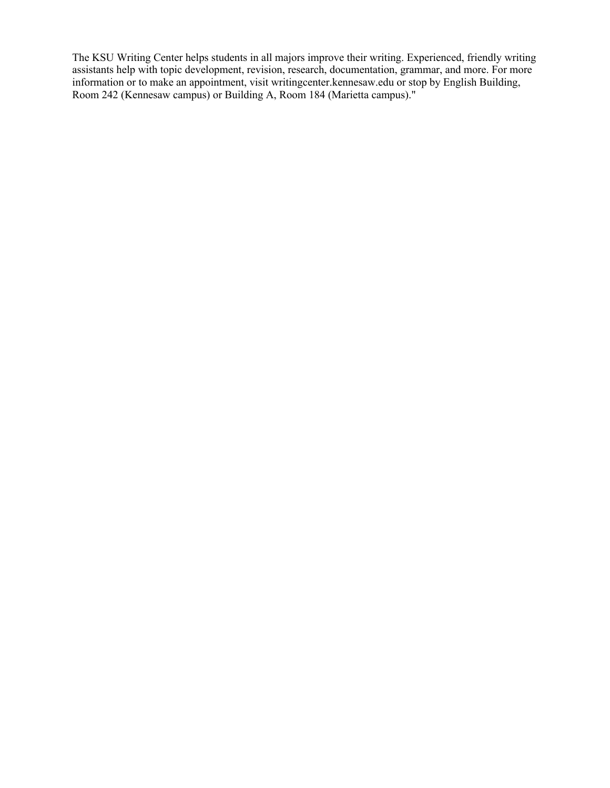The KSU Writing Center helps students in all majors improve their writing. Experienced, friendly writing assistants help with topic development, revision, research, documentation, grammar, and more. For more information or to make an appointment, visit writingcenter.kennesaw.edu or stop by English Building, Room 242 (Kennesaw campus) or Building A, Room 184 (Marietta campus)."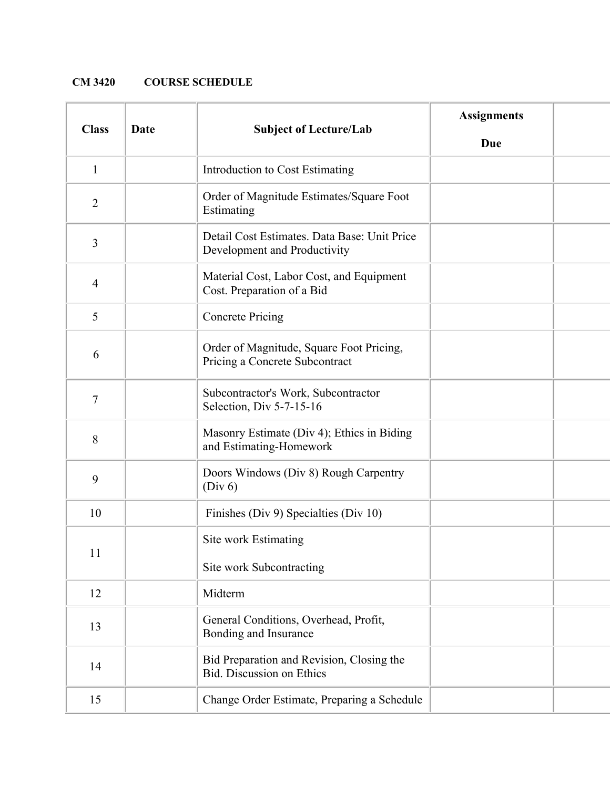## **CM 3420 COURSE SCHEDULE**

| <b>Class</b>                           | Date | <b>Subject of Lecture/Lab</b>                                                | <b>Assignments</b><br><b>Due</b> |  |
|----------------------------------------|------|------------------------------------------------------------------------------|----------------------------------|--|
| $\mathbf{1}$                           |      | Introduction to Cost Estimating                                              |                                  |  |
| $\overline{2}$                         |      | Order of Magnitude Estimates/Square Foot<br>Estimating                       |                                  |  |
| 3                                      |      | Detail Cost Estimates. Data Base: Unit Price<br>Development and Productivity |                                  |  |
| $\overline{4}$                         |      | Material Cost, Labor Cost, and Equipment<br>Cost. Preparation of a Bid       |                                  |  |
| 5                                      |      | <b>Concrete Pricing</b>                                                      |                                  |  |
| 6                                      |      | Order of Magnitude, Square Foot Pricing,<br>Pricing a Concrete Subcontract   |                                  |  |
| $\boldsymbol{7}$                       |      | Subcontractor's Work, Subcontractor<br>Selection, Div 5-7-15-16              |                                  |  |
| 8                                      |      | Masonry Estimate (Div 4); Ethics in Biding<br>and Estimating-Homework        |                                  |  |
| 9                                      |      | Doors Windows (Div 8) Rough Carpentry<br>(Div 6)                             |                                  |  |
| 10                                     |      | Finishes (Div 9) Specialties (Div 10)                                        |                                  |  |
| 11                                     |      | Site work Estimating<br>Site work Subcontracting                             |                                  |  |
| 12                                     |      | Midterm                                                                      |                                  |  |
| 13                                     |      | General Conditions, Overhead, Profit,<br>Bonding and Insurance               |                                  |  |
| 14<br><b>Bid.</b> Discussion on Ethics |      | Bid Preparation and Revision, Closing the                                    |                                  |  |
| 15                                     |      | Change Order Estimate, Preparing a Schedule                                  |                                  |  |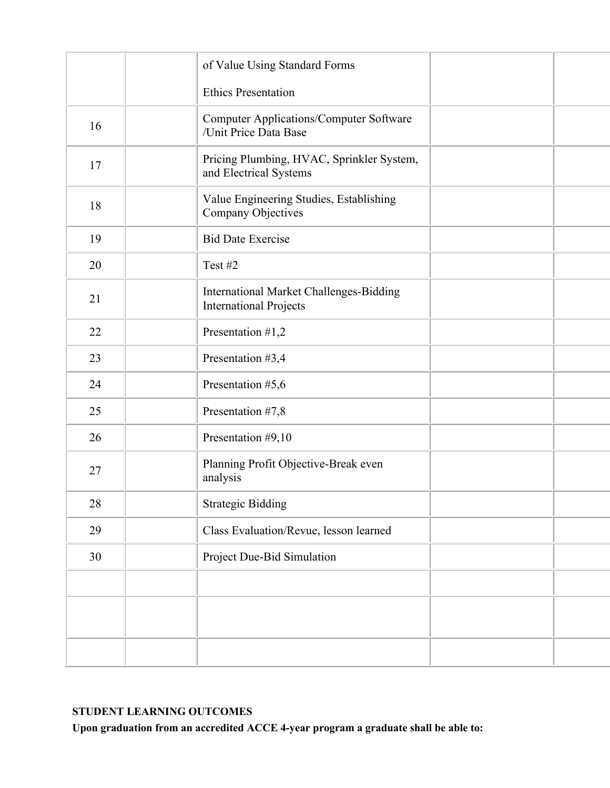|    | of Value Using Standard Forms                                            |  |
|----|--------------------------------------------------------------------------|--|
|    | <b>Ethics Presentation</b>                                               |  |
| 16 | <b>Computer Applications/Computer Software</b><br>/Unit Price Data Base  |  |
| 17 | Pricing Plumbing, HVAC, Sprinkler System,<br>and Electrical Systems      |  |
| 18 | Value Engineering Studies, Establishing<br>Company Objectives            |  |
| 19 | <b>Bid Date Exercise</b>                                                 |  |
| 20 | Test #2                                                                  |  |
| 21 | International Market Challenges-Bidding<br><b>International Projects</b> |  |
| 22 | Presentation #1,2                                                        |  |
| 23 | Presentation #3,4                                                        |  |
| 24 | Presentation #5,6                                                        |  |
| 25 | Presentation #7,8                                                        |  |
| 26 | Presentation #9,10                                                       |  |
| 27 | Planning Profit Objective-Break even<br>analysis                         |  |
| 28 | <b>Strategic Bidding</b>                                                 |  |
| 29 | Class Evaluation/Revue, lesson learned                                   |  |
| 30 | Project Due-Bid Simulation                                               |  |
|    |                                                                          |  |
|    |                                                                          |  |
|    |                                                                          |  |

## **STUDENT LEARNING OUTCOMES**

**Upon graduation from an accredited ACCE 4-year program a graduate shall be able to:**